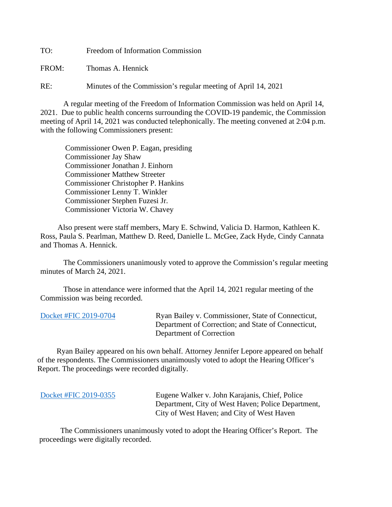TO: Freedom of Information Commission

FROM: Thomas A. Hennick

RE: Minutes of the Commission's regular meeting of April 14, 2021

A regular meeting of the Freedom of Information Commission was held on April 14, 2021. Due to public health concerns surrounding the COVID-19 pandemic, the Commission meeting of April 14, 2021 was conducted telephonically. The meeting convened at 2:04 p.m. with the following Commissioners present:

 Commissioner Owen P. Eagan, presiding Commissioner Jay Shaw Commissioner Jonathan J. Einhorn Commissioner Matthew Streeter Commissioner Christopher P. Hankins Commissioner Lenny T. Winkler Commissioner Stephen Fuzesi Jr. Commissioner Victoria W. Chavey

 Also present were staff members, Mary E. Schwind, Valicia D. Harmon, Kathleen K. Ross, Paula S. Pearlman, Matthew D. Reed, Danielle L. McGee, Zack Hyde, Cindy Cannata and Thomas A. Hennick.

The Commissioners unanimously voted to approve the Commission's regular meeting minutes of March 24, 2021.

 Those in attendance were informed that the April 14, 2021 regular meeting of the Commission was being recorded.

[Docket #FIC 2019-0704](https://portal.ct.gov/-/media/FOI/FinalDecisions/2021/Apr14/2019-0704.pdf) Ryan Bailey v. Commissioner, State of Connecticut, Department of Correction; and State of Connecticut, Department of Correction

 Ryan Bailey appeared on his own behalf. Attorney Jennifer Lepore appeared on behalf of the respondents. The Commissioners unanimously voted to adopt the Hearing Officer's Report. The proceedings were recorded digitally.

[Docket #FIC 2019-0355](https://portal.ct.gov/-/media/FOI/FinalDecisions/2021/Apr14/2019-0355.pdf) Eugene Walker v. John Karajanis, Chief, Police Department, City of West Haven; Police Department, City of West Haven; and City of West Haven

 The Commissioners unanimously voted to adopt the Hearing Officer's Report. The proceedings were digitally recorded.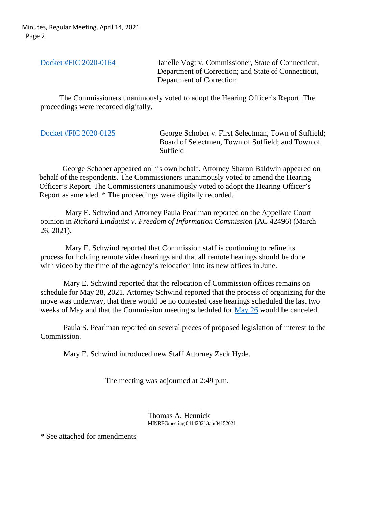Minutes, Regular Meeting, April 14, 2021 Page 2

[Docket #FIC 2020-0164](https://portal.ct.gov/-/media/FOI/FinalDecisions/2021/Apr14/2020-0164.pdf) Janelle Vogt v. Commissioner, State of Connecticut, Department of Correction; and State of Connecticut, Department of Correction

 The Commissioners unanimously voted to adopt the Hearing Officer's Report. The proceedings were recorded digitally.

| George Schober v. First Selectman, Town of Suffield;<br>Board of Selectmen, Town of Suffield; and Town of<br>Suffield |
|-----------------------------------------------------------------------------------------------------------------------|
|                                                                                                                       |
|                                                                                                                       |

 George Schober appeared on his own behalf. Attorney Sharon Baldwin appeared on behalf of the respondents. The Commissioners unanimously voted to amend the Hearing Officer's Report. The Commissioners unanimously voted to adopt the Hearing Officer's Report as amended. \* The proceedings were digitally recorded.

 Mary E. Schwind and Attorney Paula Pearlman reported on the Appellate Court opinion in *Richard Lindquist v. Freedom of Information Commission* **(**AC 42496) (March 26, 2021).

 Mary E. Schwind reported that Commission staff is continuing to refine its process for holding remote video hearings and that all remote hearings should be done with video by the time of the agency's relocation into its new offices in June.

Mary E. Schwind reported that the relocation of Commission offices remains on schedule for May 28, 2021. Attorney Schwind reported that the process of organizing for the move was underway, that there would be no contested case hearings scheduled the last two weeks of May and that the Commission meeting scheduled for [May 26](https://portal.ct.gov/-/media/FOI/Notices_General/Cancel-Notice-May-26-2021.pdf) would be canceled.

Paula S. Pearlman reported on several pieces of proposed legislation of interest to the Commission.

Mary E. Schwind introduced new Staff Attorney Zack Hyde.

The meeting was adjourned at 2:49 p.m.

 $\mathcal{L}_\text{max}$  , which is a set of the set of the set of the set of the set of the set of the set of the set of the set of the set of the set of the set of the set of the set of the set of the set of the set of the set of Thomas A. Hennick MINREGmeeting 04142021/tah/04152021

\* See attached for amendments